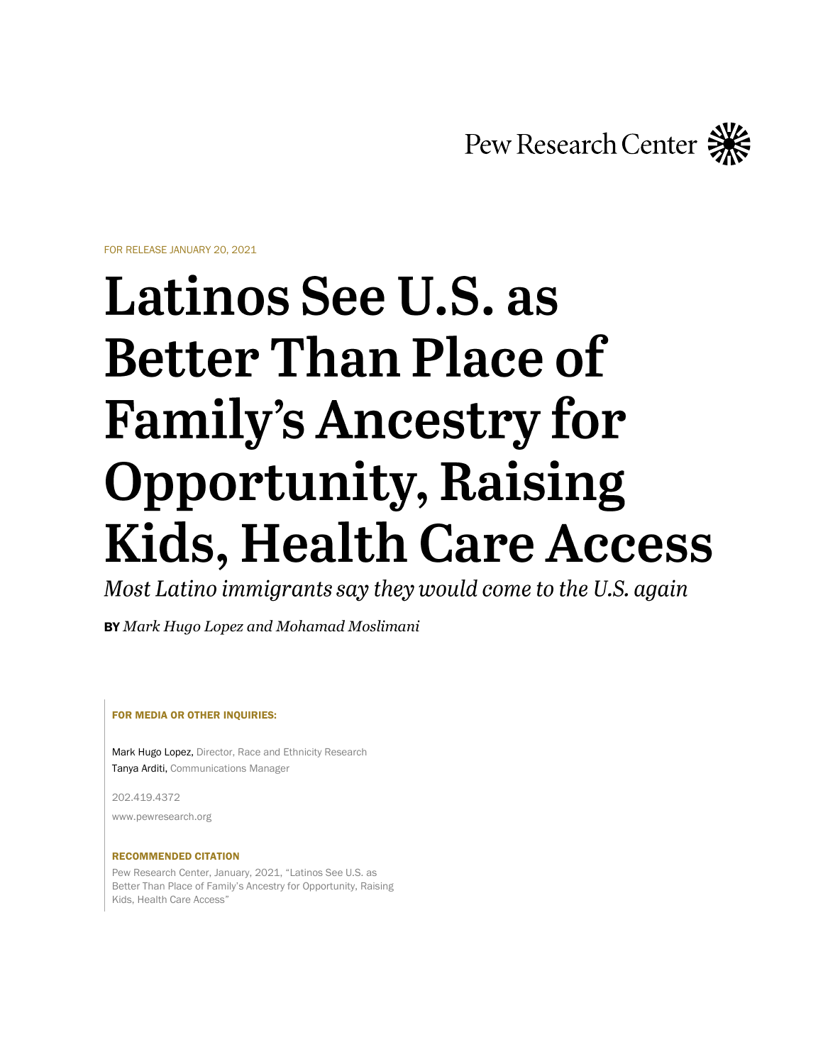Pew Research Center

FOR RELEASE JANUARY 20, 2021

# **Latinos See U.S. as Better Than Place of Family's Ancestry for Opportunity, Raising Kids, Health Care Access**

Most Latino immigrants say they would come to the U.S. again

BY *Mark Hugo Lopez and Mohamad Moslimani*

FOR MEDIA OR OTHER INQUIRIES:

Mark Hugo Lopez, Director, Race and Ethnicity Research Tanya Arditi, Communications Manager

202.419.4372

www.pewresearch.org

#### RECOMMENDED CITATION

Pew Research Center, January, 2021, "Latinos See U.S. as Better Than Place of Family's Ancestry for Opportunity, Raising Kids, Health Care Access"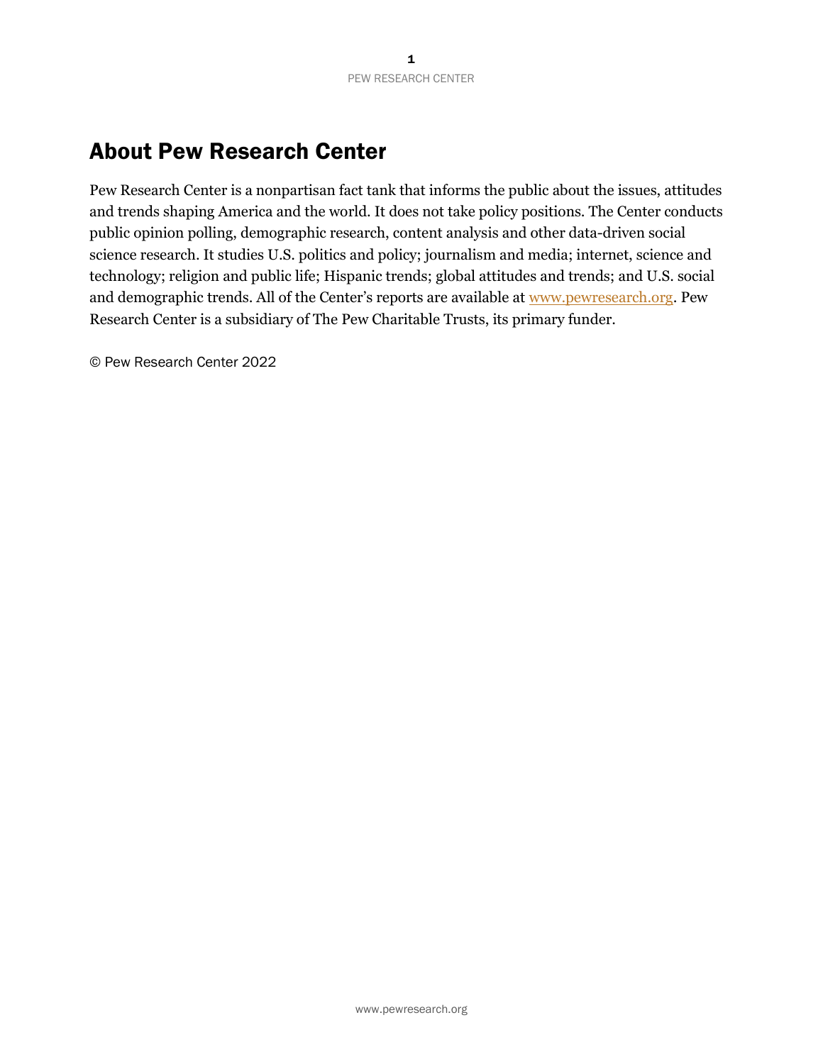# About Pew Research Center

Pew Research Center is a nonpartisan fact tank that informs the public about the issues, attitudes and trends shaping America and the world. It does not take policy positions. The Center conducts public opinion polling, demographic research, content analysis and other data-driven social science research. It studies U.S. politics and policy; journalism and media; internet, science and technology; religion and public life; Hispanic trends; global attitudes and trends; and U.S. social and demographic trends. All of the Center's reports are available at [www.pewresearch.org.](http://www.pewresearch.org/) Pew Research Center is a subsidiary of The Pew Charitable Trusts, its primary funder.

© Pew Research Center 2022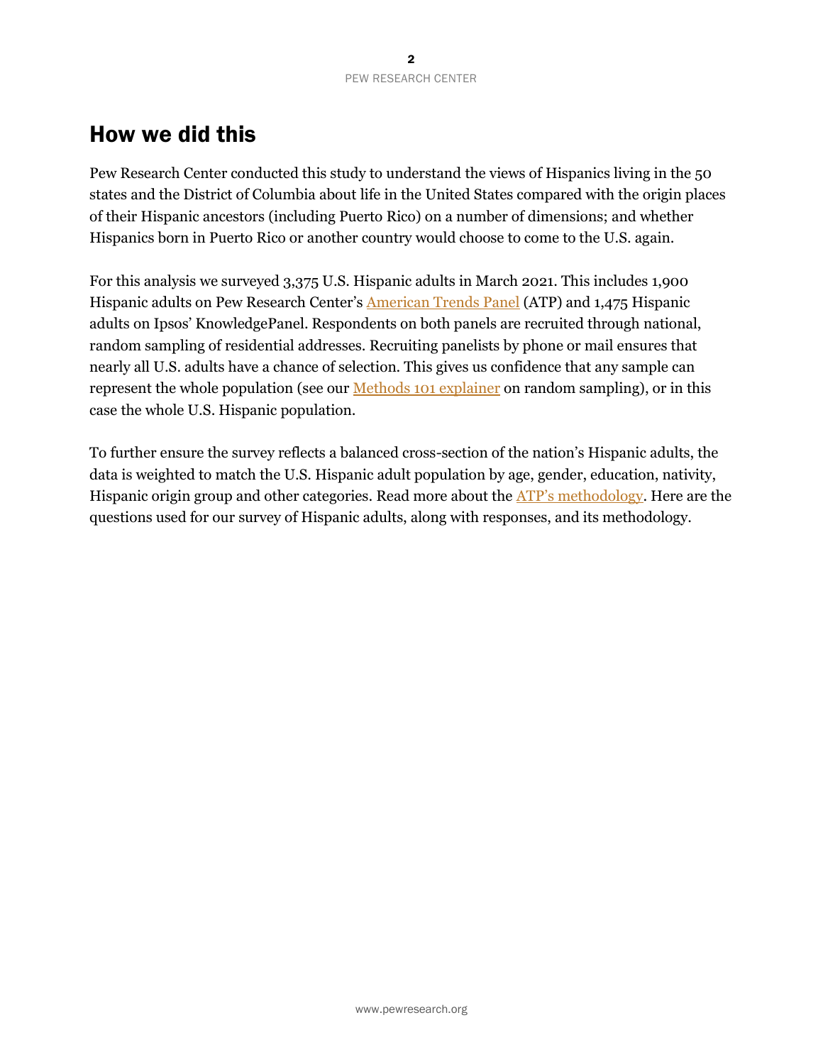# How we did this

Pew Research Center conducted this study to understand the views of Hispanics living in the 50 states and the District of Columbia about life in the United States compared with the origin places of their Hispanic ancestors (including Puerto Rico) on a number of dimensions; and whether Hispanics born in Puerto Rico or another country would choose to come to the U.S. again.

For this analysis we surveyed 3,375 U.S. Hispanic adults in March 2021. This includes 1,900 Hispanic adults on Pew Research Center's [American Trends Panel](https://www.pewresearch.org/methods/u-s-survey-research/american-trends-panel/) (ATP) and 1,475 Hispanic adults on Ipsos' KnowledgePanel. Respondents on both panels are recruited through national, random sampling of residential addresses. Recruiting panelists by phone or mail ensures that nearly all U.S. adults have a chance of selection. This gives us confidence that any sample can represent the whole population (see our *Methods 101 explainer* on random sampling), or in this case the whole U.S. Hispanic population.

To further ensure the survey reflects a balanced cross-section of the nation's Hispanic adults, the data is weighted to match the U.S. Hispanic adult population by age, gender, education, nativity, Hispanic origin group and other categories. Read more about the [ATP's methodology](https://www.pewresearch.org/methods/u-s-survey-research/american-trends-panel/). Here are the questions used for our survey of Hispanic adults, along with responses, and its methodology.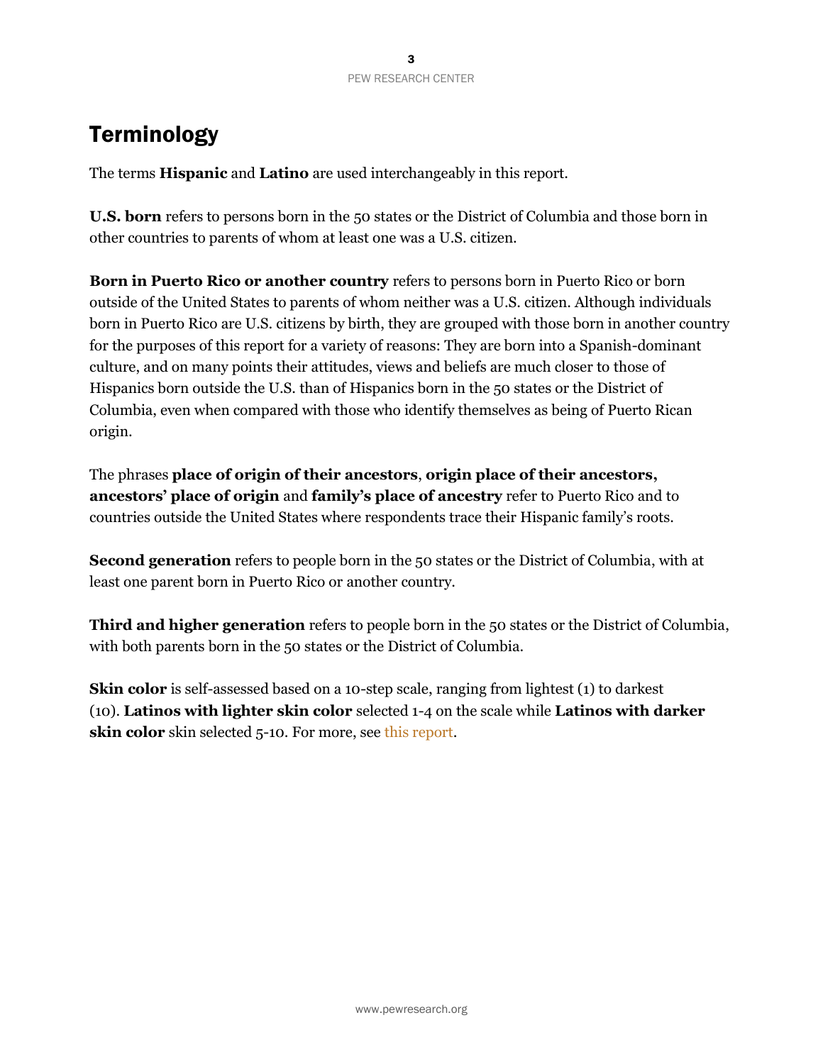# **Terminology**

The terms **Hispanic** and **Latino** are used interchangeably in this report.

**U.S. born** refers to persons born in the 50 states or the District of Columbia and those born in other countries to parents of whom at least one was a U.S. citizen.

**Born in Puerto Rico or another country** refers to persons born in Puerto Rico or born outside of the United States to parents of whom neither was a U.S. citizen. Although individuals born in Puerto Rico are U.S. citizens by birth, they are grouped with those born in another country for the purposes of this report for a variety of reasons: They are born into a Spanish-dominant culture, and on many points their attitudes, views and beliefs are much closer to those of Hispanics born outside the U.S. than of Hispanics born in the 50 states or the District of Columbia, even when compared with those who identify themselves as being of Puerto Rican origin.

The phrases **place of origin of their ancestors**, **origin place of their ancestors, ancestors' place of origin** and **family's place of ancestry** refer to Puerto Rico and to countries outside the United States where respondents trace their Hispanic family's roots.

**Second generation** refers to people born in the 50 states or the District of Columbia, with at least one parent born in Puerto Rico or another country.

**Third and higher generation** refers to people born in the 50 states or the District of Columbia, with both parents born in the 50 states or the District of Columbia.

**Skin color** is self-assessed based on a 10-step scale, ranging from lightest (1) to darkest (10). **Latinos with lighter skin color** selected 1-4 on the scale while **Latinos with darker skin color** skin selected 5-10. For more, see [this report.](https://www.pewresearch.org/hispanic/2021/11/04/majority-of-latinos-say-skin-color-impacts-opportunity-in-america-and-shapes-daily-life/#:~:text=Capturing%20skin%20color%20among%20U.S.%20Hispanics)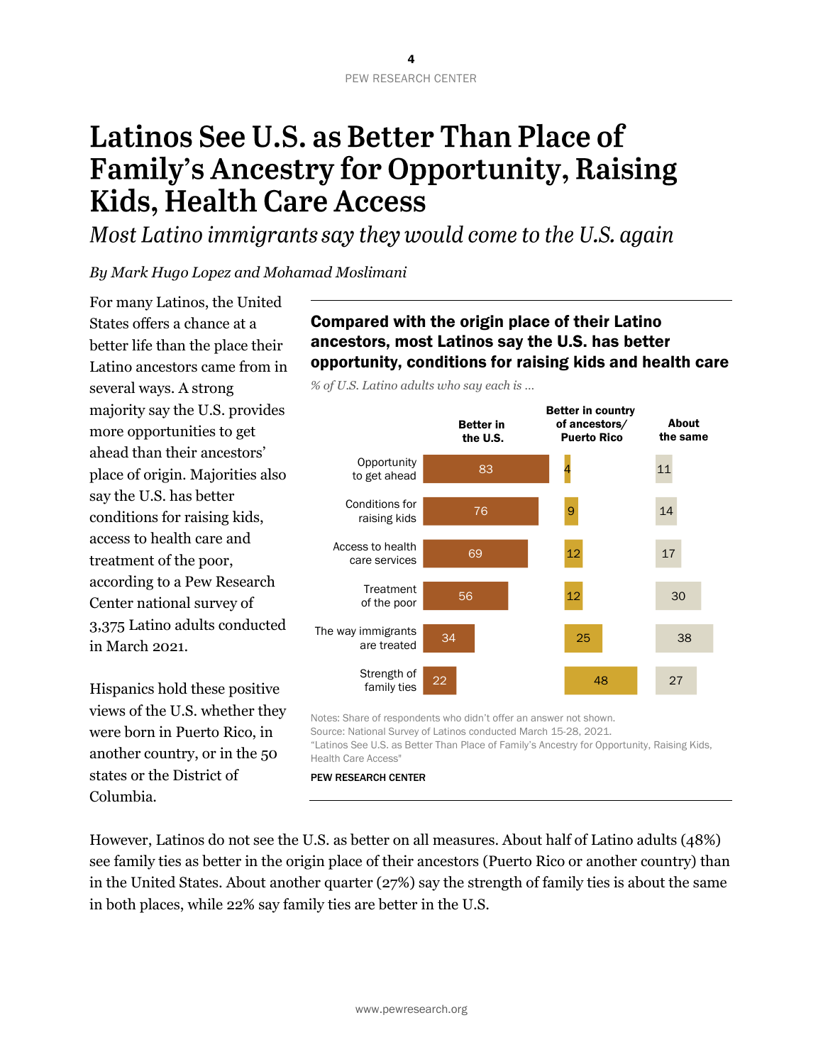# Latinos See U.S. as Better Than Place of **Family's Ancestry for Opportunity, Raising Kids, Health Care Access**

Most Latino immigrants say they would come to the U.S. again

## *By Mark Hugo Lopez and Mohamad Moslimani*

For many Latinos, the United States offers a chance at a better life than the place their Latino ancestors came from in several ways. A strong majority say the U.S. provides more opportunities to get ahead than their ancestors' place of origin. Majorities also say the U.S. has better conditions for raising kids, access to health care and treatment of the poor, according to a Pew Research Center national survey of 3,375 Latino adults conducted in March 2021.

Hispanics hold these positive views of the U.S. whether they were born in Puerto Rico, in another country, or in the 50 states or the District of Columbia.

# Compared with the origin place of their Latino ancestors, most Latinos say the U.S. has better opportunity, conditions for raising kids and health care

*% of U.S. Latino adults who say each is …*



Notes: Share of respondents who didn't offer an answer not shown. Source: National Survey of Latinos conducted March 15-28, 2021. "Latinos See U.S. as Better Than Place of Family's Ancestry for Opportunity, Raising Kids, Health Care Access" PEW RESEARCH CENTER

However, Latinos do not see the U.S. as better on all measures. About half of Latino adults (48%) see family ties as better in the origin place of their ancestors (Puerto Rico or another country) than in the United States. About another quarter (27%) say the strength of family ties is about the same in both places, while 22% say family ties are better in the U.S.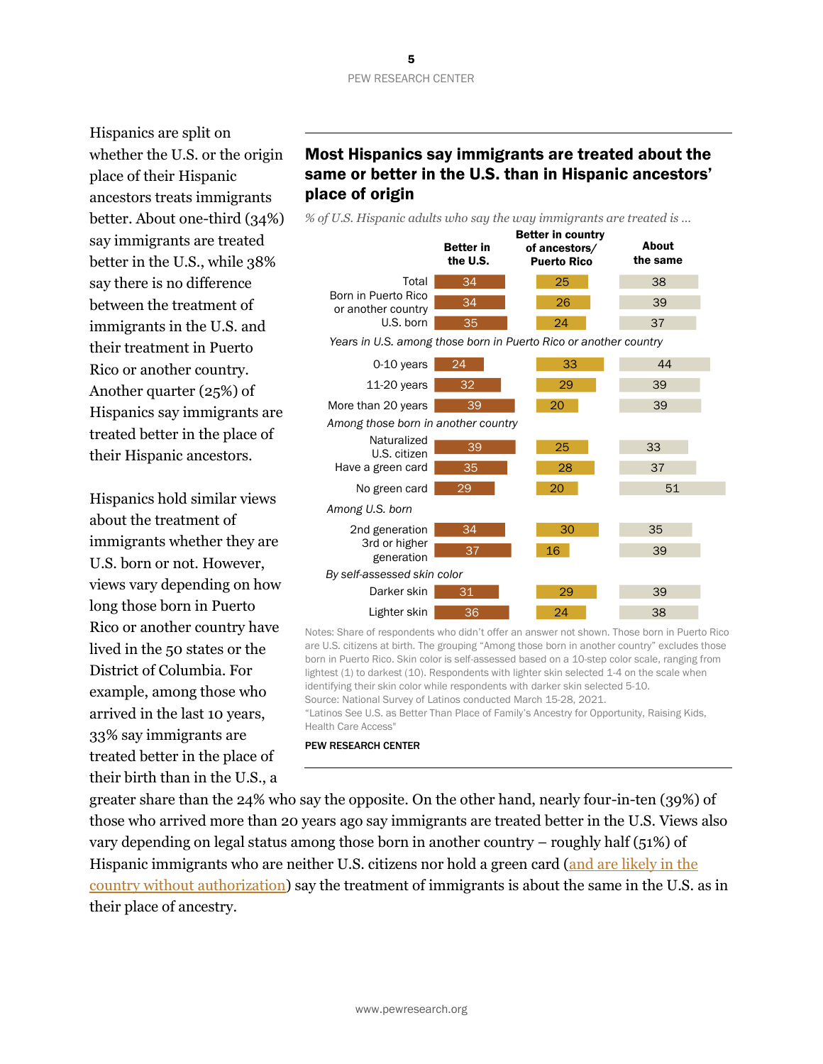#### 5 PEW RESEARCH CENTER

Hispanics are split on whether the U.S. or the origin place of their Hispanic ancestors treats immigrants better. About one-third (34%) say immigrants are treated better in the U.S., while 38% say there is no difference between the treatment of immigrants in the U.S. and their treatment in Puerto Rico or another country. Another quarter (25%) of Hispanics say immigrants are treated better in the place of their Hispanic ancestors.

Hispanics hold similar views about the treatment of immigrants whether they are U.S. born or not. However, views vary depending on how long those born in Puerto Rico or another country have lived in the 50 states or the District of Columbia. For example, among those who arrived in the last 10 years, 33% say immigrants are treated better in the place of their birth than in the U.S., a

# Most Hispanics say immigrants are treated about the same or better in the U.S. than in Hispanic ancestors' place of origin

*% of U.S. Hispanic adults who say the way immigrants are treated is …*



Notes: Share of respondents who didn't offer an answer not shown. Those born in Puerto Rico are U.S. citizens at birth. The grouping "Among those born in another country" excludes those born in Puerto Rico. Skin color is self-assessed based on a 10-step color scale, ranging from lightest (1) to darkest (10). Respondents with lighter skin selected 1-4 on the scale when identifying their skin color while respondents with darker skin selected 5-10. Source: National Survey of Latinos conducted March 15-28, 2021. "Latinos See U.S. as Better Than Place of Family's Ancestry for Opportunity, Raising Kids,

PEW RESEARCH CENTER

Health Care Access"

greater share than the 24% who say the opposite. On the other hand, nearly four-in-ten (39%) of those who arrived more than 20 years ago say immigrants are treated better in the U.S. Views also vary depending on legal status among those born in another country – roughly half (51%) of Hispanic immigrants who are neither U.S. citizens nor hold a green card (and are likely in the [country without authorization\)](https://www.pewresearch.org/hispanic/2009/09/25/hispanics-health-insurance-and-health-care-access/) say the treatment of immigrants is about the same in the U.S. as in their place of ancestry.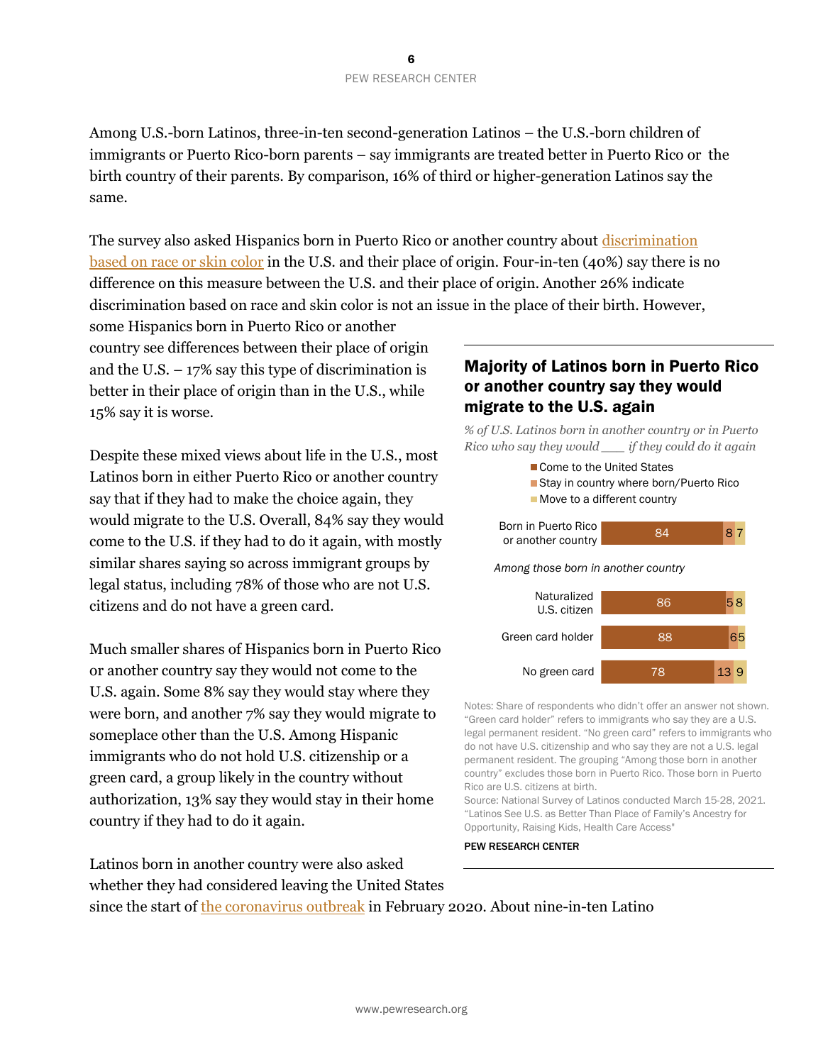Among U.S.-born Latinos, three-in-ten second-generation Latinos – the U.S.-born children of immigrants or Puerto Rico-born parents – say immigrants are treated better in Puerto Rico or the birth country of their parents. By comparison, 16% of third or higher-generation Latinos say the same.

The survey also asked Hispanics born in Puerto Rico or another country about [discrimination](https://www.pewresearch.org/hispanic/2021/11/04/latinos-divided-on-whether-race-gets-too-much-or-too-little-attention-in-the-u-s-today/#views-of-racial-discrimination-outside-the-50-u-s-states-and-d-c)  [based on race or skin](https://www.pewresearch.org/hispanic/2021/11/04/latinos-divided-on-whether-race-gets-too-much-or-too-little-attention-in-the-u-s-today/#views-of-racial-discrimination-outside-the-50-u-s-states-and-d-c) color in the U.S. and their place of origin. Four-in-ten (40%) say there is no difference on this measure between the U.S. and their place of origin. Another 26% indicate discrimination based on race and skin color is not an issue in the place of their birth. However,

some Hispanics born in Puerto Rico or another country see differences between their place of origin and the U.S.  $-17\%$  say this type of discrimination is better in their place of origin than in the U.S., while 15% say it is worse.

Despite these mixed views about life in the U.S., most Latinos born in either Puerto Rico or another country say that if they had to make the choice again, they would migrate to the U.S. Overall, 84% say they would come to the U.S. if they had to do it again, with mostly similar shares saying so across immigrant groups by legal status, including 78% of those who are not U.S. citizens and do not have a green card.

Much smaller shares of Hispanics born in Puerto Rico or another country say they would not come to the U.S. again. Some 8% say they would stay where they were born, and another 7% say they would migrate to someplace other than the U.S. Among Hispanic immigrants who do not hold U.S. citizenship or a green card, a group likely in the country without authorization, 13% say they would stay in their home country if they had to do it again.

Latinos born in another country were also asked whether they had considered leaving the United States

### Majority of Latinos born in Puerto Rico or another country say they would migrate to the U.S. again

*% of U.S. Latinos born in another country or in Puerto Rico who say they would \_\_\_ if they could do it again*



Notes: Share of respondents who didn't offer an answer not shown. "Green card holder" refers to immigrants who say they are a U.S. legal permanent resident. "No green card" refers to immigrants who do not have U.S. citizenship and who say they are not a U.S. legal permanent resident. The grouping "Among those born in another country" excludes those born in Puerto Rico. Those born in Puerto Rico are U.S. citizens at birth.

Source: National Survey of Latinos conducted March 15-28, 2021. "Latinos See U.S. as Better Than Place of Family's Ancestry for Opportunity, Raising Kids, Health Care Access"

PEW RESEARCH CENTER

since the start of [the coronavirus outbreak](https://www.pewresearch.org/topic/coronavirus-disease-covid-19/) in February 2020. About nine-in-ten Latino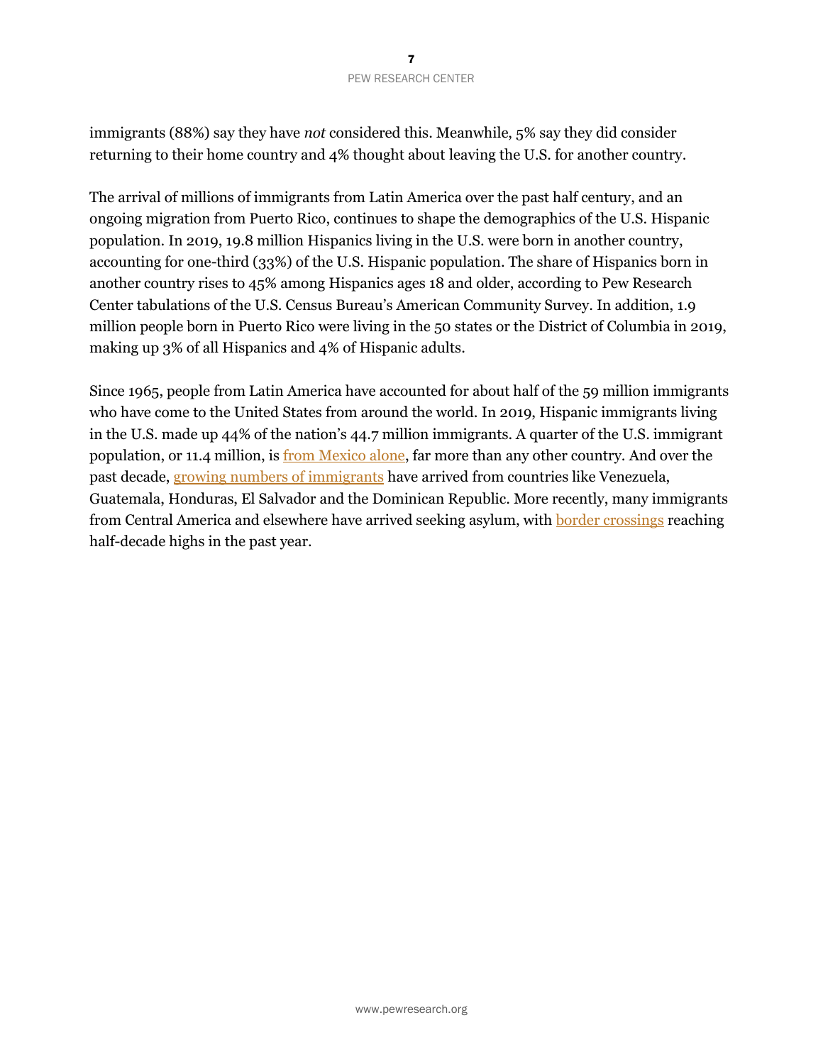immigrants (88%) say they have *not* considered this. Meanwhile, 5% say they did consider returning to their home country and 4% thought about leaving the U.S. for another country.

The arrival of millions of immigrants from Latin America over the past half century, and an ongoing migration from Puerto Rico, continues to shape the demographics of the U.S. Hispanic population. In 2019, 19.8 million Hispanics living in the U.S. were born in another country, accounting for one-third (33%) of the U.S. Hispanic population. The share of Hispanics born in another country rises to 45% among Hispanics ages 18 and older, according to Pew Research Center tabulations of the U.S. Census Bureau's American Community Survey. In addition, 1.9 million people born in Puerto Rico were living in the 50 states or the District of Columbia in 2019, making up 3% of all Hispanics and 4% of Hispanic adults.

Since 1965, people from Latin America have accounted for about half of the 59 million immigrants who have come to the United States from around the world. In 2019, Hispanic immigrants living in the U.S. made up 44% of the nation's 44.7 million immigrants. A quarter of the U.S. immigrant population, or 11.4 million, i[s from Mexico alone,](https://www.pewresearch.org/fact-tank/2021/07/09/before-covid-19-more-mexicans-came-to-the-u-s-than-left-for-mexico-for-the-first-time-in-years/) far more than any other country. And over the past decade, [growing numbers of immigrants](https://www.pewresearch.org/fact-tank/2019/09/16/key-facts-about-u-s-hispanics/) have arrived from countries like Venezuela, Guatemala, Honduras, El Salvador and the Dominican Republic. More recently, many immigrants from Central America and elsewhere have arrived seeking asylum, wit[h border crossings](https://www.pewresearch.org/fact-tank/2021/11/09/whats-happening-at-the-u-s-mexico-border-in-7-charts/) reaching half-decade highs in the past year.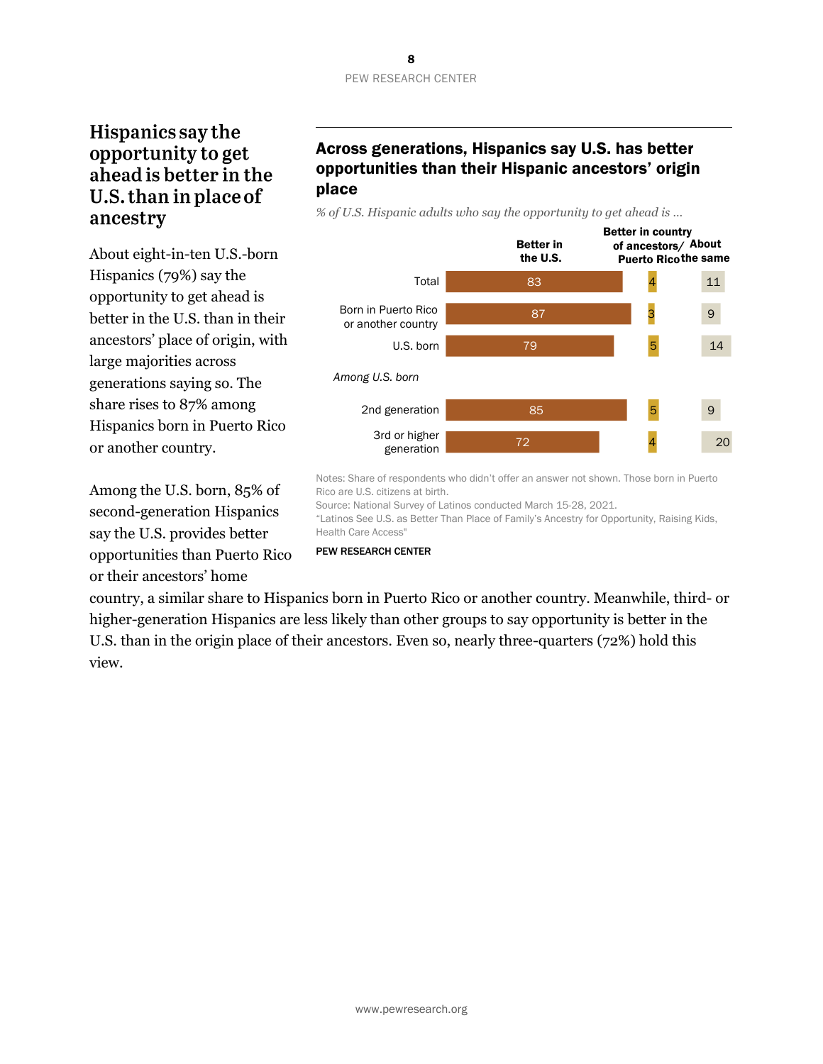# Hispanics say the opportunity to get ahead is better in the U.S. than in place of ancestry

About eight-in-ten U.S.-born Hispanics (79%) say the opportunity to get ahead is better in the U.S. than in their ancestors' place of origin, with large majorities across generations saying so. The share rises to 87% among Hispanics born in Puerto Rico or another country.

Among the U.S. born, 85% of second-generation Hispanics say the U.S. provides better opportunities than Puerto Rico or their ancestors' home

# Across generations, Hispanics say U.S. has better opportunities than their Hispanic ancestors' origin place

*% of U.S. Hispanic adults who say the opportunity to get ahead is …*



Notes: Share of respondents who didn't offer an answer not shown. Those born in Puerto Rico are U.S. citizens at birth. Source: National Survey of Latinos conducted March 15-28, 2021.

"Latinos See U.S. as Better Than Place of Family's Ancestry for Opportunity, Raising Kids, Health Care Access"



country, a similar share to Hispanics born in Puerto Rico or another country. Meanwhile, third- or higher-generation Hispanics are less likely than other groups to say opportunity is better in the U.S. than in the origin place of their ancestors. Even so, nearly three-quarters (72%) hold this view.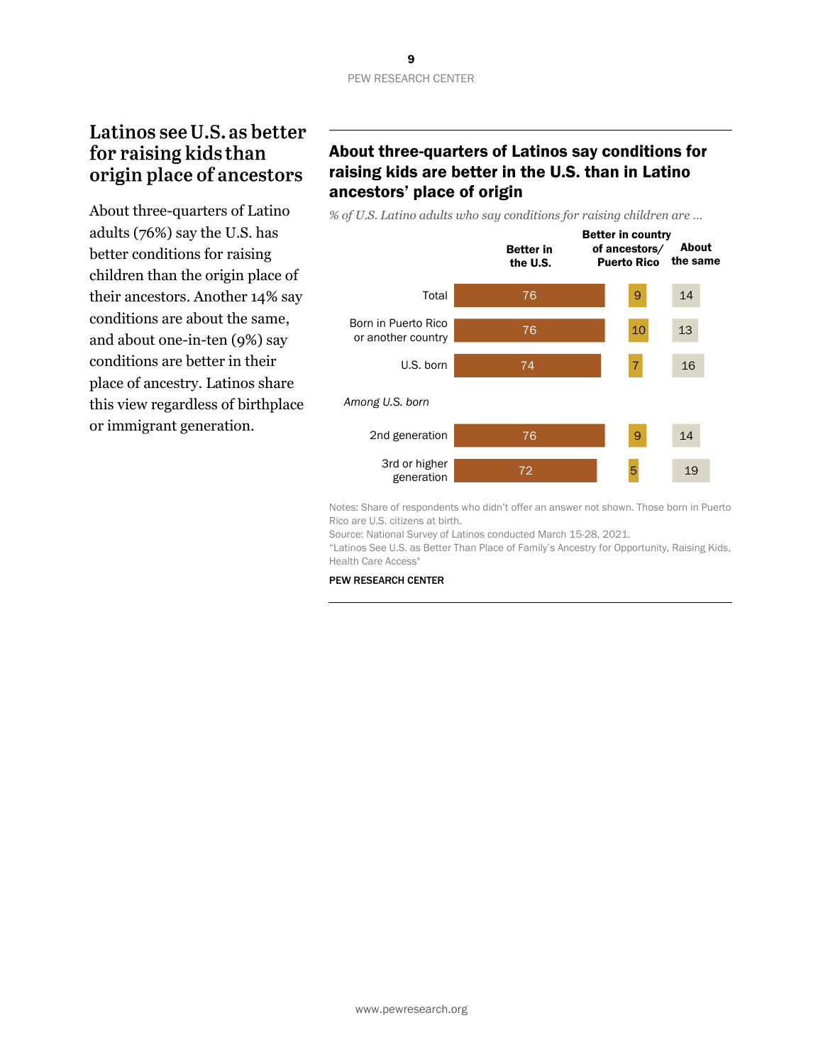# Latinos see U.S. as better for raising kids than origin place of ancestors

About three-quarters of Latino adults (76%) say the U.S. has better conditions for raising children than the origin place of their ancestors. Another 14% say conditions are about the same, and about one-in-ten (9%) say conditions are better in their place of ancestry. Latinos share this view regardless of birthplace or immigrant generation.

# About three-quarters of Latinos say conditions for raising kids are better in the U.S. than in Latino ancestors' place of origin

*% of U.S. Latino adults who say conditions for raising children are …*



Notes: Share of respondents who didn't offer an answer not shown. Those born in Puerto Rico are U.S. citizens at birth.

Source: National Survey of Latinos conducted March 15-28, 2021.

"Latinos See U.S. as Better Than Place of Family's Ancestry for Opportunity, Raising Kids, Health Care Access"

#### PEW RESEARCH CENTER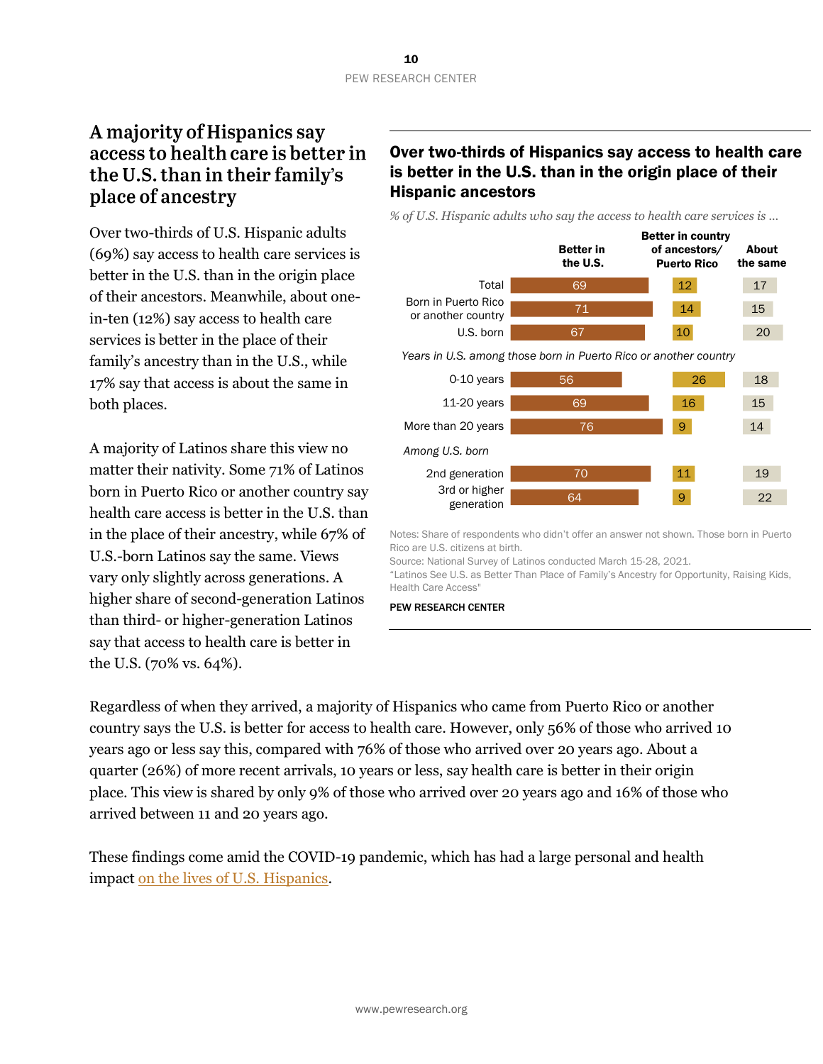# A majority of Hispanics say access to health care is better in the U.S. than in their family's place of ancestry

Over two-thirds of U.S. Hispanic adults (69%) say access to health care services is better in the U.S. than in the origin place of their ancestors. Meanwhile, about onein-ten (12%) say access to health care services is better in the place of their family's ancestry than in the U.S., while 17% say that access is about the same in both places.

A majority of Latinos share this view no matter their nativity. Some 71% of Latinos born in Puerto Rico or another country say health care access is better in the U.S. than in the place of their ancestry, while 67% of U.S.-born Latinos say the same. Views vary only slightly across generations. A higher share of second-generation Latinos than third- or higher-generation Latinos say that access to health care is better in the U.S. (70% vs. 64%).

# Over two-thirds of Hispanics say access to health care is better in the U.S. than in the origin place of their Hispanic ancestors

*% of U.S. Hispanic adults who say the access to health care services is …*

|                                           | <b>Better in</b><br>the U.S.                                     | <b>Better in country</b><br>of ancestors/<br><b>Puerto Rico</b> | About<br>the same |
|-------------------------------------------|------------------------------------------------------------------|-----------------------------------------------------------------|-------------------|
| Total                                     | 69                                                               | 12 <sub>2</sub>                                                 | 17                |
| Born in Puerto Rico<br>or another country | 71                                                               | 14                                                              | 15                |
| U.S. born                                 | 67                                                               | 10                                                              | 20                |
|                                           | Years in U.S. among those born in Puerto Rico or another country |                                                                 |                   |
| 0-10 years                                | 56                                                               | 26                                                              | 18                |
| $11-20$ years                             | 69                                                               | 16                                                              | 15                |
| More than 20 years                        | 76                                                               | 9                                                               | 14                |
| Among U.S. born                           |                                                                  |                                                                 |                   |
| 2nd generation                            | 70                                                               | 11                                                              | 19                |
| 3rd or higher<br>generation               | 64                                                               | 9                                                               | 22                |

Notes: Share of respondents who didn't offer an answer not shown. Those born in Puerto Rico are U.S. citizens at birth.

Source: National Survey of Latinos conducted March 15-28, 2021.

"Latinos See U.S. as Better Than Place of Family's Ancestry for Opportunity, Raising Kids, Health Care Access"

PEW RESEARCH CENTER

Regardless of when they arrived, a majority of Hispanics who came from Puerto Rico or another country says the U.S. is better for access to health care. However, only 56% of those who arrived 10 years ago or less say this, compared with 76% of those who arrived over 20 years ago. About a quarter (26%) of more recent arrivals, 10 years or less, say health care is better in their origin place. This view is shared by only 9% of those who arrived over 20 years ago and 16% of those who arrived between 11 and 20 years ago.

These findings come amid the COVID-19 pandemic, which has had a large personal and health impact [on the lives of U.S. Hispanics.](https://www.pewresearch.org/race-ethnicity/2021/07/15/for-u-s-latinos-covid-19-has-taken-a-personal-and-financial-toll/)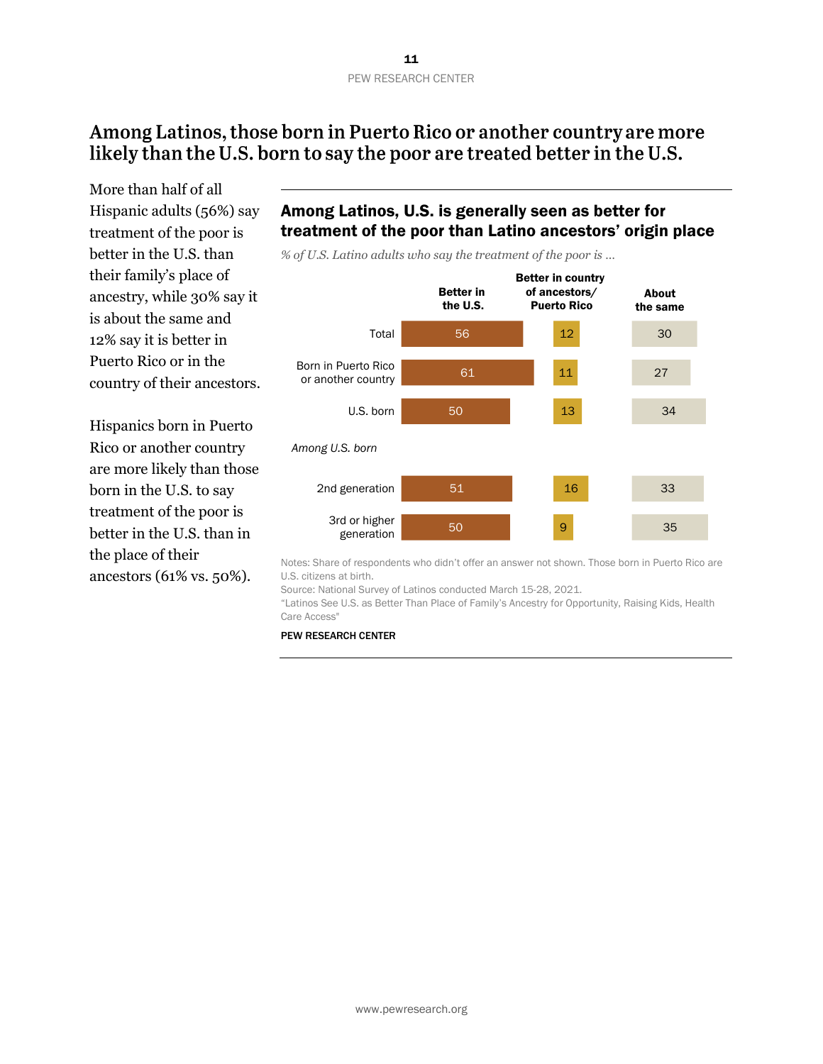# Among Latinos, those born in Puerto Rico or another country are more likely than the U.S. born to say the poor are treated better in the U.S.

More than half of all Hispanic adults (56%) say treatment of the poor is better in the U.S. than their family's place of ancestry, while 30% say it is about the same and 12% say it is better in Puerto Rico or in the country of their ancestors.

Hispanics born in Puerto Rico or another country are more likely than those born in the U.S. to say treatment of the poor is better in the U.S. than in the place of their ancestors (61% vs. 50%).

# Among Latinos, U.S. is generally seen as better for treatment of the poor than Latino ancestors' origin place

*% of U.S. Latino adults who say the treatment of the poor is …*



Notes: Share of respondents who didn't offer an answer not shown. Those born in Puerto Rico are U.S. citizens at birth.

Source: National Survey of Latinos conducted March 15-28, 2021.

"Latinos See U.S. as Better Than Place of Family's Ancestry for Opportunity, Raising Kids, Health Care Access"

#### PEW RESEARCH CENTER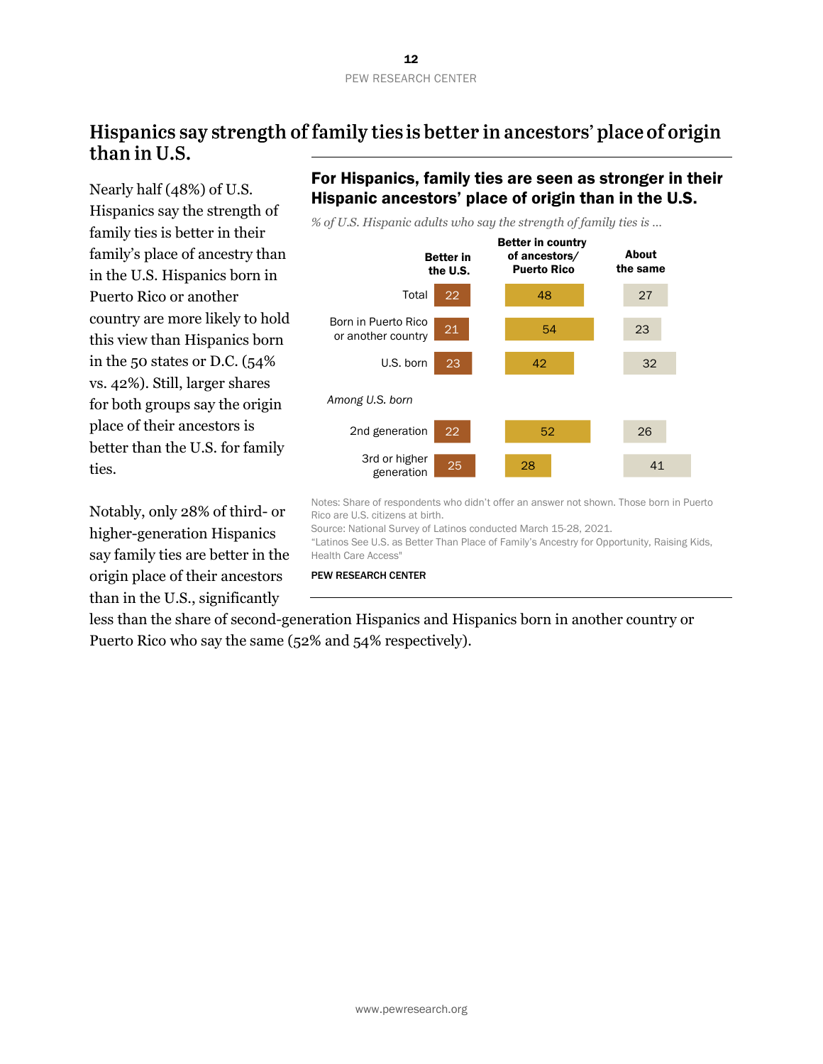# Hispanics say strength of family ties is better in ancestors' place of origin than in U.S.

Nearly half (48%) of U.S. Hispanics say the strength of family ties is better in their family's place of ancestry than in the U.S. Hispanics born in Puerto Rico or another country are more likely to hold this view than Hispanics born in the 50 states or D.C. (54% vs. 42%). Still, larger shares for both groups say the origin place of their ancestors is better than the U.S. for family ties.

Notably, only 28% of third- or higher-generation Hispanics say family ties are better in the origin place of their ancestors than in the U.S., significantly

# For Hispanics, family ties are seen as stronger in their Hispanic ancestors' place of origin than in the U.S.

*% of U.S. Hispanic adults who say the strength of family ties is …*



Notes: Share of respondents who didn't offer an answer not shown. Those born in Puerto Rico are U.S. citizens at birth.

Source: National Survey of Latinos conducted March 15-28, 2021.

"Latinos See U.S. as Better Than Place of Family's Ancestry for Opportunity, Raising Kids, Health Care Access"

PEW RESEARCH CENTER

less than the share of second-generation Hispanics and Hispanics born in another country or Puerto Rico who say the same (52% and 54% respectively).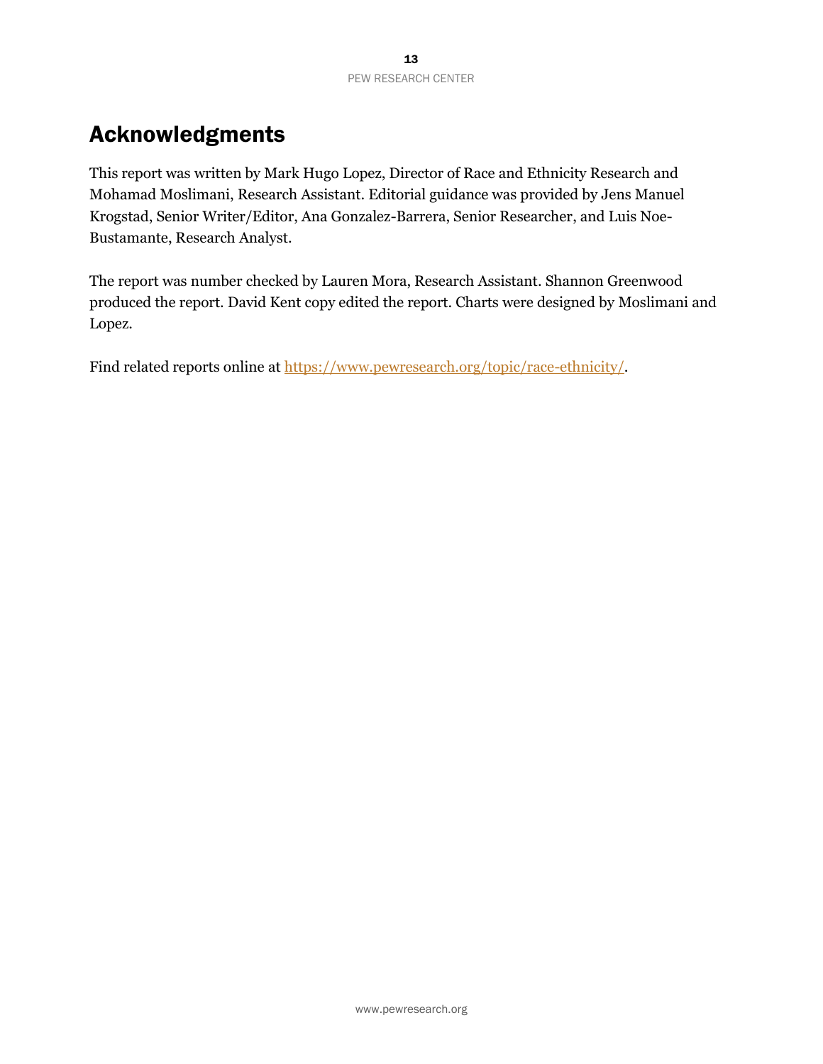# Acknowledgments

This report was written by Mark Hugo Lopez, Director of Race and Ethnicity Research and Mohamad Moslimani, Research Assistant. Editorial guidance was provided by Jens Manuel Krogstad, Senior Writer/Editor, Ana Gonzalez-Barrera, Senior Researcher, and Luis Noe-Bustamante, Research Analyst.

The report was number checked by Lauren Mora, Research Assistant. Shannon Greenwood produced the report. David Kent copy edited the report. Charts were designed by Moslimani and Lopez.

Find related reports online at [https://www.pewresearch.org/topic/race-ethnicity/.](https://www.pewresearch.org/topic/race-ethnicity/)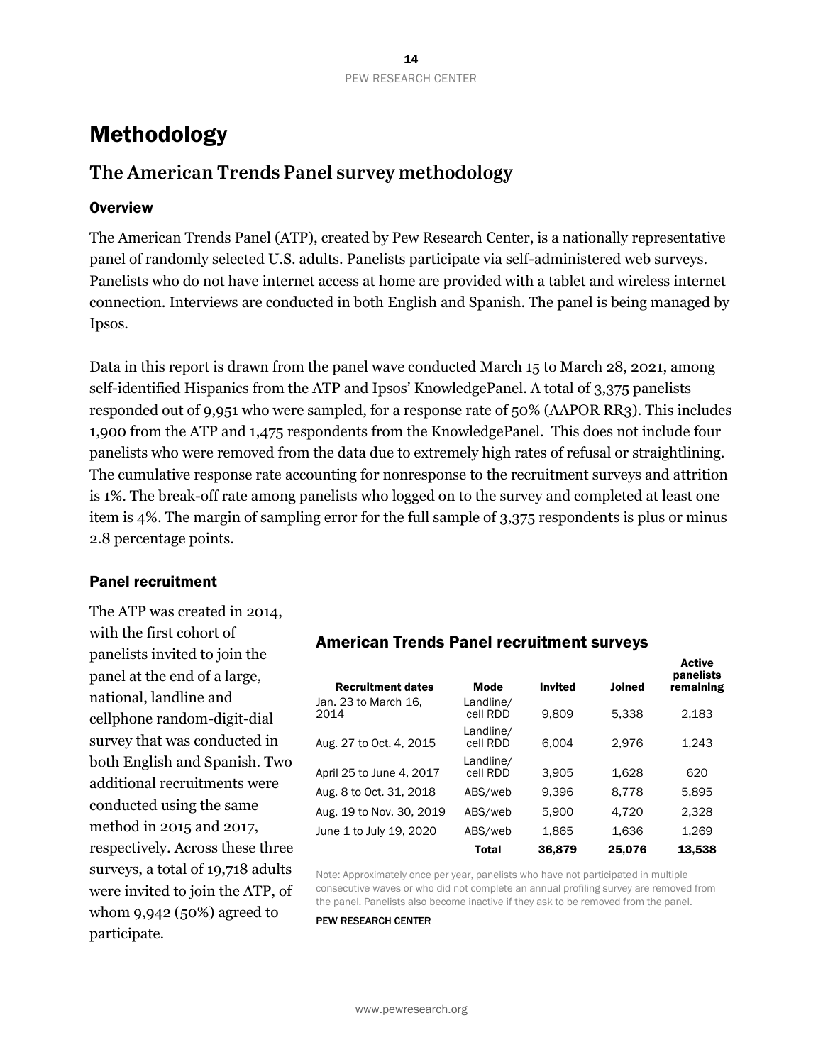# Methodology

# The American Trends Panel survey methodology

#### **Overview**

The American Trends Panel (ATP), created by Pew Research Center, is a nationally representative panel of randomly selected U.S. adults. Panelists participate via self-administered web surveys. Panelists who do not have internet access at home are provided with a tablet and wireless internet connection. Interviews are conducted in both English and Spanish. The panel is being managed by Ipsos.

Data in this report is drawn from the panel wave conducted March 15 to March 28, 2021, among self-identified Hispanics from the ATP and Ipsos' KnowledgePanel. A total of 3,375 panelists responded out of 9,951 who were sampled, for a response rate of 50% (AAPOR RR3). This includes 1,900 from the ATP and 1,475 respondents from the KnowledgePanel. This does not include four panelists who were removed from the data due to extremely high rates of refusal or straightlining. The cumulative response rate accounting for nonresponse to the recruitment surveys and attrition is 1%. The break-off rate among panelists who logged on to the survey and completed at least one item is 4%. The margin of sampling error for the full sample of 3,375 respondents is plus or minus 2.8 percentage points.

#### Panel recruitment

The ATP was created in 2014, with the first cohort of panelists invited to join the panel at the end of a large, national, landline and cellphone random-digit-dial survey that was conducted in both English and Spanish. Two additional recruitments were conducted using the same method in 2015 and 2017, respectively. Across these three surveys, a total of 19,718 adults were invited to join the ATP, of whom 9,942 (50%) agreed to participate.

## American Trends Panel recruitment surveys

| <b>Recruitment dates</b>     | <b>Mode</b>           | <b>Invited</b> | <b>Joined</b> | panelists<br>remaining |
|------------------------------|-----------------------|----------------|---------------|------------------------|
| Jan. 23 to March 16,<br>2014 | Landline/<br>cell RDD | 9.809          | 5.338         | 2,183                  |
| Aug. 27 to Oct. 4, 2015      | Landline/<br>cell RDD | 6.004          | 2.976         | 1,243                  |
| April 25 to June 4, 2017     | Landline/<br>cell RDD | 3,905          | 1,628         | 620                    |
| Aug. 8 to Oct. 31, 2018      | ABS/web               | 9.396          | 8.778         | 5,895                  |
| Aug. 19 to Nov. 30, 2019     | ABS/web               | 5,900          | 4,720         | 2,328                  |
| June 1 to July 19, 2020      | ABS/web               | 1,865          | 1,636         | 1,269                  |
|                              | <b>Total</b>          | 36,879         | 25,076        | 13,538                 |

Active

Note: Approximately once per year, panelists who have not participated in multiple consecutive waves or who did not complete an annual profiling survey are removed from the panel. Panelists also become inactive if they ask to be removed from the panel.

PEW RESEARCH CENTER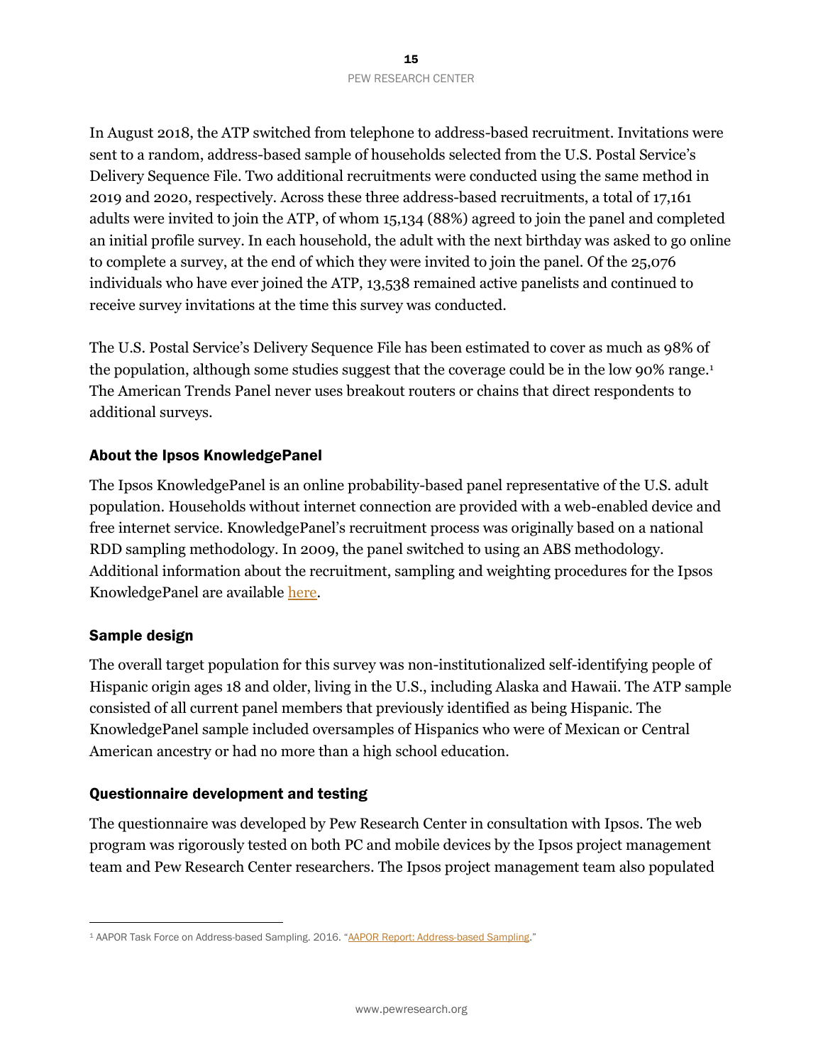In August 2018, the ATP switched from telephone to address-based recruitment. Invitations were sent to a random, address-based sample of households selected from the U.S. Postal Service's Delivery Sequence File. Two additional recruitments were conducted using the same method in 2019 and 2020, respectively. Across these three address-based recruitments, a total of 17,161 adults were invited to join the ATP, of whom 15,134 (88%) agreed to join the panel and completed an initial profile survey. In each household, the adult with the next birthday was asked to go online to complete a survey, at the end of which they were invited to join the panel. Of the 25,076 individuals who have ever joined the ATP, 13,538 remained active panelists and continued to receive survey invitations at the time this survey was conducted.

The U.S. Postal Service's Delivery Sequence File has been estimated to cover as much as 98% of the population, although some studies suggest that the coverage could be in the low 90% range.<sup>1</sup> The American Trends Panel never uses breakout routers or chains that direct respondents to additional surveys.

#### About the Ipsos KnowledgePanel

The Ipsos KnowledgePanel is an online probability-based panel representative of the U.S. adult population. Households without internet connection are provided with a web-enabled device and free internet service. KnowledgePanel's recruitment process was originally based on a national RDD sampling methodology. In 2009, the panel switched to using an ABS methodology. Additional information about the recruitment, sampling and weighting procedures for the Ipsos KnowledgePanel are available [here.](https://www.ipsos.com/sites/default/files/ipsosknowledgepanelmethodology.pdf)

#### Sample design

The overall target population for this survey was non-institutionalized self-identifying people of Hispanic origin ages 18 and older, living in the U.S., including Alaska and Hawaii. The ATP sample consisted of all current panel members that previously identified as being Hispanic. The KnowledgePanel sample included oversamples of Hispanics who were of Mexican or Central American ancestry or had no more than a high school education.

#### Questionnaire development and testing

The questionnaire was developed by Pew Research Center in consultation with Ipsos. The web program was rigorously tested on both PC and mobile devices by the Ipsos project management team and Pew Research Center researchers. The Ipsos project management team also populated

<sup>1</sup> AAPOR Task Force on Address-based Sampling. 2016. "[AAPOR Report: Address-based Sampling](https://www.aapor.org/Education-Resources/Reports/Address-based-Sampling.aspx)."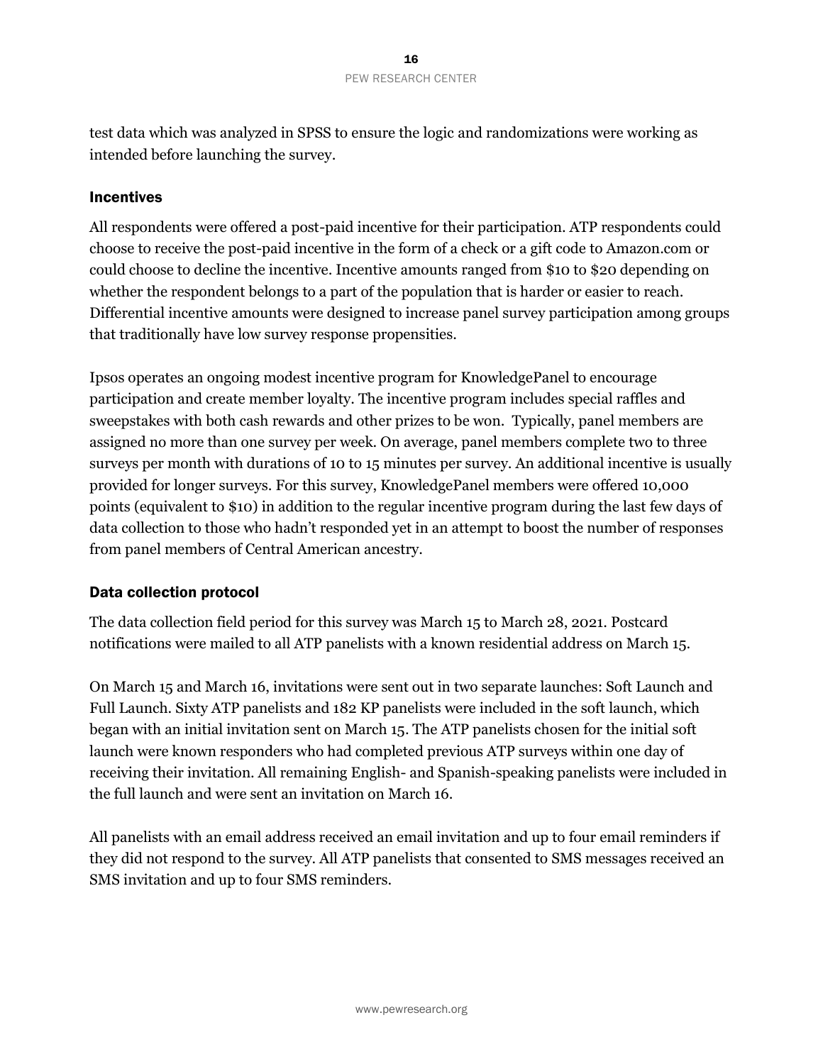test data which was analyzed in SPSS to ensure the logic and randomizations were working as intended before launching the survey.

#### Incentives

All respondents were offered a post-paid incentive for their participation. ATP respondents could choose to receive the post-paid incentive in the form of a check or a gift code to Amazon.com or could choose to decline the incentive. Incentive amounts ranged from \$10 to \$20 depending on whether the respondent belongs to a part of the population that is harder or easier to reach. Differential incentive amounts were designed to increase panel survey participation among groups that traditionally have low survey response propensities.

Ipsos operates an ongoing modest incentive program for KnowledgePanel to encourage participation and create member loyalty. The incentive program includes special raffles and sweepstakes with both cash rewards and other prizes to be won. Typically, panel members are assigned no more than one survey per week. On average, panel members complete two to three surveys per month with durations of 10 to 15 minutes per survey. An additional incentive is usually provided for longer surveys. For this survey, KnowledgePanel members were offered 10,000 points (equivalent to \$10) in addition to the regular incentive program during the last few days of data collection to those who hadn't responded yet in an attempt to boost the number of responses from panel members of Central American ancestry.

#### Data collection protocol

The data collection field period for this survey was March 15 to March 28, 2021. Postcard notifications were mailed to all ATP panelists with a known residential address on March 15.

On March 15 and March 16, invitations were sent out in two separate launches: Soft Launch and Full Launch. Sixty ATP panelists and 182 KP panelists were included in the soft launch, which began with an initial invitation sent on March 15. The ATP panelists chosen for the initial soft launch were known responders who had completed previous ATP surveys within one day of receiving their invitation. All remaining English- and Spanish-speaking panelists were included in the full launch and were sent an invitation on March 16.

All panelists with an email address received an email invitation and up to four email reminders if they did not respond to the survey. All ATP panelists that consented to SMS messages received an SMS invitation and up to four SMS reminders.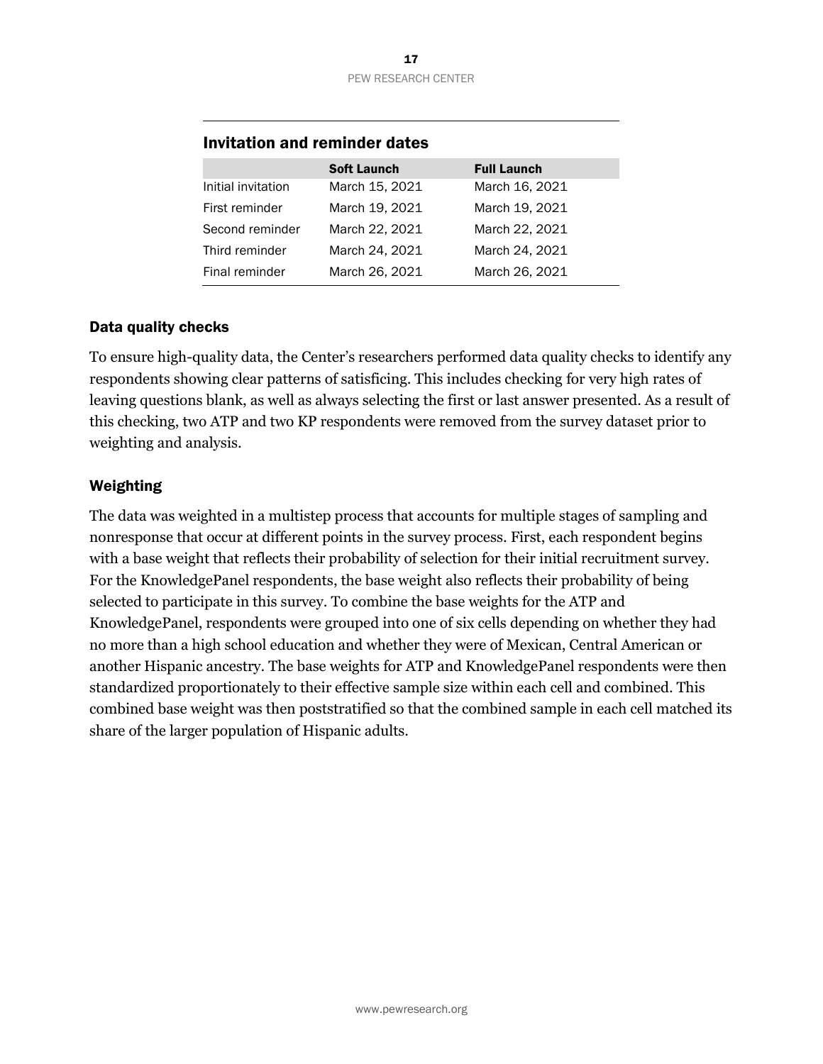#### 17 PEW RESEARCH CENTER

|                    | <b>Soft Launch</b> | <b>Full Launch</b> |
|--------------------|--------------------|--------------------|
| Initial invitation | March 15, 2021     | March 16, 2021     |
| First reminder     | March 19, 2021     | March 19, 2021     |
| Second reminder    | March 22, 2021     | March 22, 2021     |
| Third reminder     | March 24, 2021     | March 24, 2021     |
| Final reminder     | March 26, 2021     | March 26, 2021     |

#### Invitation and reminder dates

#### Data quality checks

To ensure high-quality data, the Center's researchers performed data quality checks to identify any respondents showing clear patterns of satisficing. This includes checking for very high rates of leaving questions blank, as well as always selecting the first or last answer presented. As a result of this checking, two ATP and two KP respondents were removed from the survey dataset prior to weighting and analysis.

#### Weighting

The data was weighted in a multistep process that accounts for multiple stages of sampling and nonresponse that occur at different points in the survey process. First, each respondent begins with a base weight that reflects their probability of selection for their initial recruitment survey. For the KnowledgePanel respondents, the base weight also reflects their probability of being selected to participate in this survey. To combine the base weights for the ATP and KnowledgePanel, respondents were grouped into one of six cells depending on whether they had no more than a high school education and whether they were of Mexican, Central American or another Hispanic ancestry. The base weights for ATP and KnowledgePanel respondents were then standardized proportionately to their effective sample size within each cell and combined. This combined base weight was then poststratified so that the combined sample in each cell matched its share of the larger population of Hispanic adults.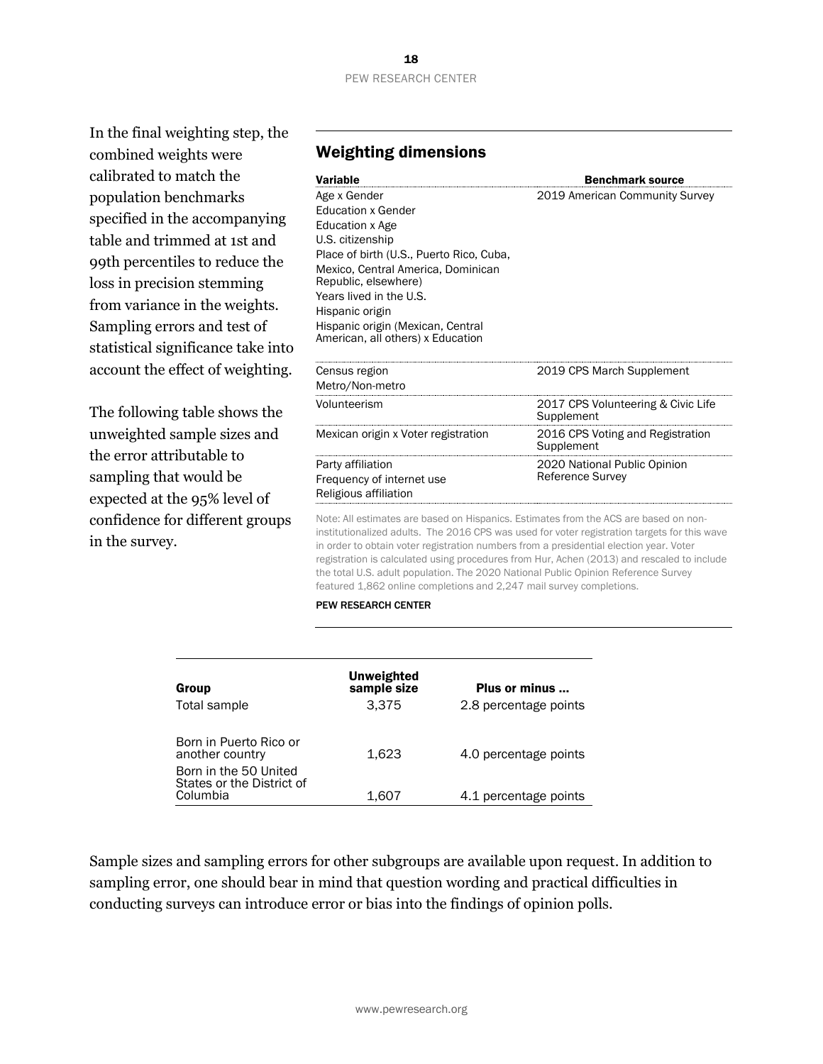# PEW RESEARCH CENTER

In the final weighting step, the combined weights were calibrated to match the population benchmarks specified in the accompanying table and trimmed at 1st and 99th percentiles to reduce the loss in precision stemming from variance in the weights. Sampling errors and test of statistical significance take into account the effect of weighting.

The following table shows the unweighted sample sizes and the error attributable to sampling that would be expected at the 95% level of confidence for different groups in the survey.

#### Weighting dimensions

| Variable                                                                                                                                                                                                                                                                                                           | <b>Benchmark source</b>                                 |
|--------------------------------------------------------------------------------------------------------------------------------------------------------------------------------------------------------------------------------------------------------------------------------------------------------------------|---------------------------------------------------------|
| Age x Gender<br><b>Education x Gender</b><br>Education x Age<br>U.S. citizenship<br>Place of birth (U.S., Puerto Rico, Cuba,<br>Mexico, Central America, Dominican<br>Republic, elsewhere)<br>Years lived in the U.S.<br>Hispanic origin<br>Hispanic origin (Mexican, Central<br>American, all others) x Education | 2019 American Community Survey                          |
| Census region<br>Metro/Non-metro                                                                                                                                                                                                                                                                                   | 2019 CPS March Supplement                               |
| Volunteerism                                                                                                                                                                                                                                                                                                       | 2017 CPS Volunteering & Civic Life<br>Supplement        |
| Mexican origin x Voter registration                                                                                                                                                                                                                                                                                | 2016 CPS Voting and Registration<br>Supplement          |
| Party affiliation<br>Frequency of internet use<br>Religious affiliation                                                                                                                                                                                                                                            | 2020 National Public Opinion<br><b>Reference Survey</b> |

Note: All estimates are based on Hispanics. Estimates from the ACS are based on noninstitutionalized adults. The 2016 CPS was used for voter registration targets for this wave in order to obtain voter registration numbers from a presidential election year. Voter registration is calculated using procedures from Hur, Achen (2013) and rescaled to include the total U.S. adult population. The 2020 National Public Opinion Reference Survey featured 1,862 online completions and 2,247 mail survey completions.

#### PEW RESEARCH CENTER

| Group<br>Total sample                                          | Unweighted<br>sample size<br>3.375 | Plus or minus<br>2.8 percentage points |
|----------------------------------------------------------------|------------------------------------|----------------------------------------|
| Born in Puerto Rico or<br>another country                      | 1.623                              | 4.0 percentage points                  |
| Born in the 50 United<br>States or the District of<br>Columbia | 1.607                              | 4.1 percentage points                  |

Sample sizes and sampling errors for other subgroups are available upon request. In addition to sampling error, one should bear in mind that question wording and practical difficulties in conducting surveys can introduce error or bias into the findings of opinion polls.

# 18